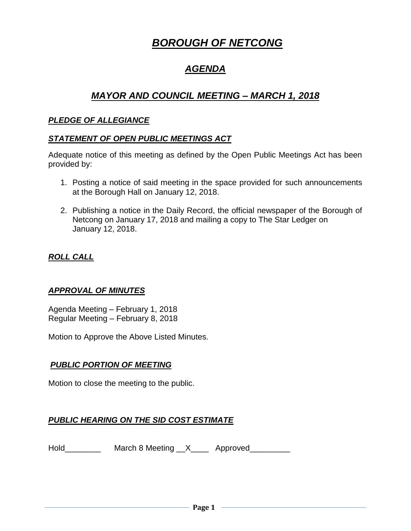# *BOROUGH OF NETCONG*

# *AGENDA*

# *MAYOR AND COUNCIL MEETING – MARCH 1, 2018*

#### *PLEDGE OF ALLEGIANCE*

#### *STATEMENT OF OPEN PUBLIC MEETINGS ACT*

Adequate notice of this meeting as defined by the Open Public Meetings Act has been provided by:

- 1. Posting a notice of said meeting in the space provided for such announcements at the Borough Hall on January 12, 2018.
- 2. Publishing a notice in the Daily Record, the official newspaper of the Borough of Netcong on January 17, 2018 and mailing a copy to The Star Ledger on January 12, 2018.

# *ROLL CALL*

#### *APPROVAL OF MINUTES*

Agenda Meeting – February 1, 2018 Regular Meeting – February 8, 2018

Motion to Approve the Above Listed Minutes.

#### *PUBLIC PORTION OF MEETING*

Motion to close the meeting to the public.

# *PUBLIC HEARING ON THE SID COST ESTIMATE*

Hold\_\_\_\_\_\_\_\_\_\_\_ March 8 Meeting \_\_X\_\_\_\_\_ Approved\_\_\_\_\_\_\_\_\_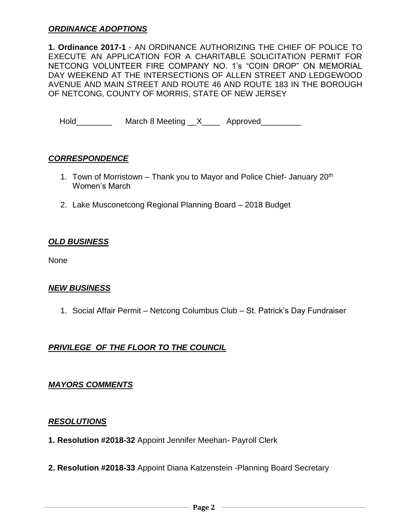#### *ORDINANCE ADOPTIONS*

**1. Ordinance 2017-1** - AN ORDINANCE AUTHORIZING THE CHIEF OF POLICE TO EXECUTE AN APPLICATION FOR A CHARITABLE SOLICITATION PERMIT FOR NETCONG VOLUNTEER FIRE COMPANY NO. 1's "COIN DROP" ON MEMORIAL DAY WEEKEND AT THE INTERSECTIONS OF ALLEN STREET AND LEDGEWOOD AVENUE AND MAIN STREET AND ROUTE 46 AND ROUTE 183 IN THE BOROUGH OF NETCONG, COUNTY OF MORRIS, STATE OF NEW JERSEY

Hold\_\_\_\_\_\_\_\_\_\_ March 8 Meeting \_\_X\_\_\_\_ Approved\_\_\_\_\_\_\_\_\_

#### *CORRESPONDENCE*

- 1. Town of Morristown Thank you to Mayor and Police Chief- January  $20<sup>th</sup>$ Women's March
- 2. Lake Musconetcong Regional Planning Board 2018 Budget

#### *OLD BUSINESS*

None

#### *NEW BUSINESS*

1. Social Affair Permit – Netcong Columbus Club – St. Patrick's Day Fundraiser

# *PRIVILEGE OF THE FLOOR TO THE COUNCIL*

#### *MAYORS COMMENTS*

#### *RESOLUTIONS*

- **1. Resolution #2018-32** Appoint Jennifer Meehan- Payroll Clerk
- **2. Resolution #2018-33** Appoint Diana Katzenstein -Planning Board Secretary